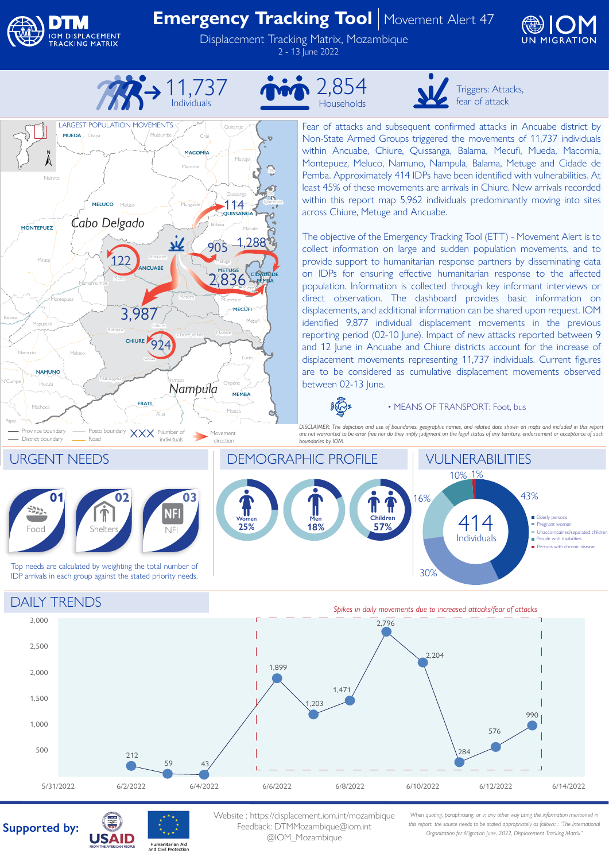

Nairoto

Mirate

**MONTEPUEZ**

Mapupulo

Montepuez

District boundary

Machoca

Papai

N'Cumpe

Balama

**Hucula** 

**NAMUNO**

**LARGEST POPULATION MOVEMENTS** 

**MUEDA**

Chapa

**MELUCO**

*Cabo Delgado*

## **Emergency Tracking Tool** | Movement Alert 47

Displacement Tracking Matrix, Mozambique 2 - 13 June 2022





Muidumbe

Chai

Macomia

**MACOMIA**

Muaguide

Ancuabe

**ANCUABE**

Chiure

 $92$ 

Alua

**ERATI**

Namapa

Metoro

**Sil** 

Chiure Velho

*Nampula*

Mazula

**MEMBA**

Chipene

Metuge

**METUGE** 2,836

Mazeze

Murrebue

**Mieze** 

**MECUFI**

**CIDADE DE PEMBA**

Bilibiza Mahate

905 1,288

Quissanga

114

**QUISSANGA**

Mucojo

Ibo

Quirimba

Quiterajo

Meluco

Mesa

122

Namanhumbir

Katapua

Meloco **Company Company Company** 

Namogelia

Namuno Meloco (Cuando Counter de lurio de lurio de lurio de lurio de lurio de lurio de lurio de lurio de lurio

Province boundary - Posto boundary  $XXX$  Number of Movement District boundary - Road

**CHIURE**

3,987





Triggers: Attacks, fear of attack

Fear of attacks and subsequent confirmed attacks in Ancuabe district by Non-State Armed Groups triggered the movements of 11,737 individuals within Ancuabe, Chiure, Quissanga, Balama, Mecufi, Mueda, Macomia, Montepuez, Meluco, Namuno, Nampula, Balama, Metuge and Cidade de Pemba. Approximately 414 IDPs have been identified with vulnerabilities. At least 45% of these movements are arrivals in Chiure. New arrivals recorded within this report map 5,962 individuals predominantly moving into sites across Chiure, Metuge and Ancuabe.

The objective of the Emergency Tracking Tool (ETT) - Movement Alert is to collect information on large and sudden population movements, and to provide support to humanitarian response partners by disseminating data on IDPs for ensuring effective humanitarian response to the affected population. Information is collected through key informant interviews or direct observation. The dashboard provides basic information on displacements, and additional information can be shared upon request. IOM identified 9,877 individual displacement movements in the previous reporting period (02-10 June). Impact of new attacks reported between 9 and 12 June in Ancuabe and Chiure districts account for the increase of displacement movements representing 11,737 individuals. Current figures are to be considered as cumulative displacement movements observed between 02-13 June.

 $\sqrt{2}$ 

• MEANS OF TRANSPORT: Foot, bus

*DISCLAIMER: The depiction and use of boundaries, geographic names, and related data shown on maps and included in this report are not warranted to be error free nor do they imply judgment on the legal status of any territory, endorsement or acceptance of such boundaries by IOM.* 





**Supported by:**



Website : https://displacement.iom.int/mozambique Feedback: DTMMozambique@iom.int @IOM\_Mozambique

*When quoting, paraphrasing, or in any other way using the information mentioned in this report, the source needs to be stated appropriately as follows: : "The International Organization for Migration June, 2022, Displacement Tracking Matrix"*